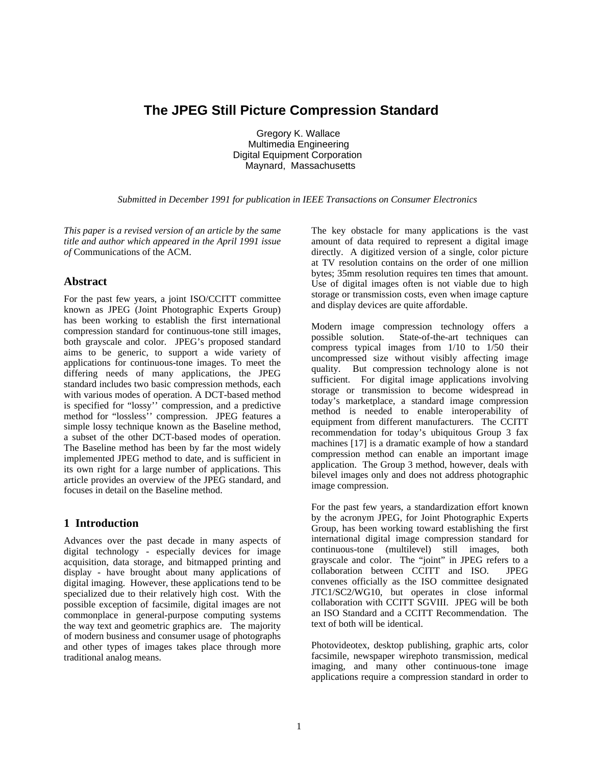# **The JPEG Still Picture Compression Standard**

Gregory K. Wallace Multimedia Engineering Digital Equipment Corporation Maynard, Massachusetts

*Submitted in December 1991 for publication in IEEE Transactions on Consumer Electronics*

*This paper is a revised version of an article by the same title and author which appeared in the April 1991 issue of* Communications of the ACM.

### **Abstract**

For the past few years, a joint ISO/CCITT committee known as JPEG (Joint Photographic Experts Group) has been working to establish the first international compression standard for continuous-tone still images, both grayscale and color. JPEG's proposed standard aims to be generic, to support a wide variety of applications for continuous-tone images. To meet the differing needs of many applications, the JPEG standard includes two basic compression methods, each with various modes of operation. A DCT-based method is specified for "lossy'' compression, and a predictive method for "lossless'' compression. JPEG features a simple lossy technique known as the Baseline method, a subset of the other DCT-based modes of operation. The Baseline method has been by far the most widely implemented JPEG method to date, and is sufficient in its own right for a large number of applications. This article provides an overview of the JPEG standard, and focuses in detail on the Baseline method.

## **1 Introduction**

Advances over the past decade in many aspects of digital technology - especially devices for image acquisition, data storage, and bitmapped printing and display - have brought about many applications of digital imaging. However, these applications tend to be specialized due to their relatively high cost. With the possible exception of facsimile, digital images are not commonplace in general-purpose computing systems the way text and geometric graphics are. The majority of modern business and consumer usage of photographs and other types of images takes place through more traditional analog means.

The key obstacle for many applications is the vast amount of data required to represent a digital image directly. A digitized version of a single, color picture at TV resolution contains on the order of one million bytes; 35mm resolution requires ten times that amount. Use of digital images often is not viable due to high storage or transmission costs, even when image capture and display devices are quite affordable.

Modern image compression technology offers a possible solution. State-of-the-art techniques can compress typical images from 1/10 to 1/50 their uncompressed size without visibly affecting image quality. But compression technology alone is not sufficient. For digital image applications involving storage or transmission to become widespread in today's marketplace, a standard image compression method is needed to enable interoperability of equipment from different manufacturers. The CCITT recommendation for today's ubiquitous Group 3 fax machines [17] is a dramatic example of how a standard compression method can enable an important image application. The Group 3 method, however, deals with bilevel images only and does not address photographic image compression.

For the past few years, a standardization effort known by the acronym JPEG, for Joint Photographic Experts Group, has been working toward establishing the first international digital image compression standard for continuous-tone (multilevel) still images, both grayscale and color. The "joint" in JPEG refers to a collaboration between CCITT and ISO. JPEG convenes officially as the ISO committee designated JTC1/SC2/WG10, but operates in close informal collaboration with CCITT SGVIII. JPEG will be both an ISO Standard and a CCITT Recommendation. The text of both will be identical.

Photovideotex, desktop publishing, graphic arts, color facsimile, newspaper wirephoto transmission, medical imaging, and many other continuous-tone image applications require a compression standard in order to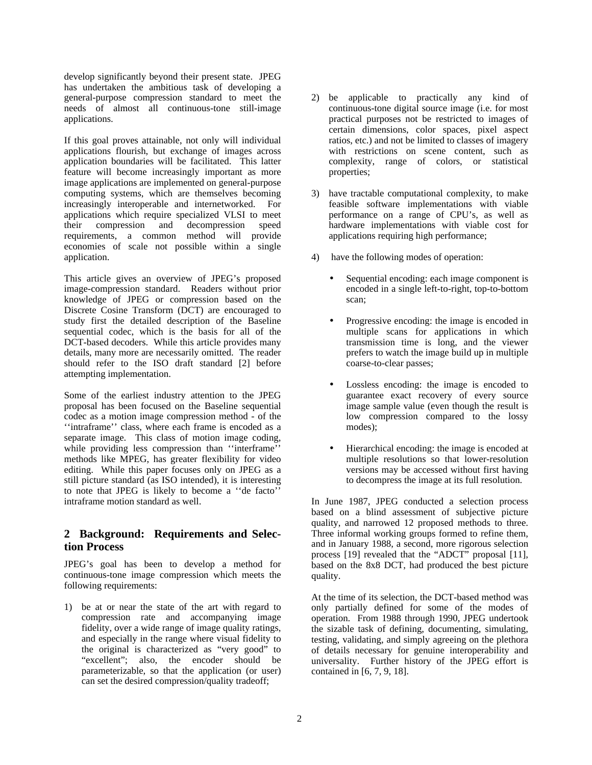develop significantly beyond their present state. JPEG has undertaken the ambitious task of developing a general-purpose compression standard to meet the needs of almost all continuous-tone still-image applications.

If this goal proves attainable, not only will individual applications flourish, but exchange of images across application boundaries will be facilitated. This latter feature will become increasingly important as more image applications are implemented on general-purpose computing systems, which are themselves becoming increasingly interoperable and internetworked. For applications which require specialized VLSI to meet their compression and decompression speed requirements, a common method will provide economies of scale not possible within a single application.

This article gives an overview of JPEG's proposed image-compression standard. Readers without prior knowledge of JPEG or compression based on the Discrete Cosine Transform (DCT) are encouraged to study first the detailed description of the Baseline sequential codec, which is the basis for all of the DCT-based decoders. While this article provides many details, many more are necessarily omitted. The reader should refer to the ISO draft standard [2] before attempting implementation.

Some of the earliest industry attention to the JPEG proposal has been focused on the Baseline sequential codec as a motion image compression method - of the ''intraframe'' class, where each frame is encoded as a separate image. This class of motion image coding, while providing less compression than "interframe" methods like MPEG, has greater flexibility for video editing. While this paper focuses only on JPEG as a still picture standard (as ISO intended), it is interesting to note that JPEG is likely to become a ''de facto'' intraframe motion standard as well.

## **2 Background: Requirements and Selection Process**

JPEG's goal has been to develop a method for continuous-tone image compression which meets the following requirements:

1) be at or near the state of the art with regard to compression rate and accompanying image fidelity, over a wide range of image quality ratings, and especially in the range where visual fidelity to the original is characterized as "very good" to "excellent"; also, the encoder should be parameterizable, so that the application (or user) can set the desired compression/quality tradeoff;

- 2) be applicable to practically any kind of continuous-tone digital source image (i.e. for most practical purposes not be restricted to images of certain dimensions, color spaces, pixel aspect ratios, etc.) and not be limited to classes of imagery with restrictions on scene content, such as complexity, range of colors, or statistical properties;
- 3) have tractable computational complexity, to make feasible software implementations with viable performance on a range of CPU's, as well as hardware implementations with viable cost for applications requiring high performance;
- 4) have the following modes of operation:
	- Sequential encoding: each image component is encoded in a single left-to-right, top-to-bottom scan;
	- Progressive encoding: the image is encoded in multiple scans for applications in which transmission time is long, and the viewer prefers to watch the image build up in multiple coarse-to-clear passes;
	- Lossless encoding: the image is encoded to guarantee exact recovery of every source image sample value (even though the result is low compression compared to the lossy modes);
	- Hierarchical encoding: the image is encoded at multiple resolutions so that lower-resolution versions may be accessed without first having to decompress the image at its full resolution.

In June 1987, JPEG conducted a selection process based on a blind assessment of subjective picture quality, and narrowed 12 proposed methods to three. Three informal working groups formed to refine them, and in January 1988, a second, more rigorous selection process [19] revealed that the "ADCT" proposal [11], based on the 8x8 DCT, had produced the best picture quality.

At the time of its selection, the DCT-based method was only partially defined for some of the modes of operation. From 1988 through 1990, JPEG undertook the sizable task of defining, documenting, simulating, testing, validating, and simply agreeing on the plethora of details necessary for genuine interoperability and universality. Further history of the JPEG effort is contained in [6, 7, 9, 18].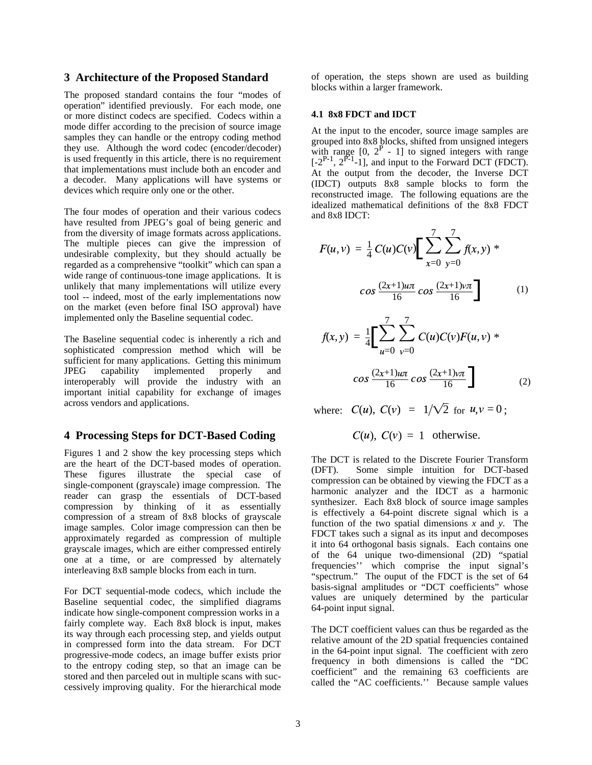### **3 Architecture of the Proposed Standard**

The proposed standard contains the four "modes of operation" identified previously. For each mode, one or more distinct codecs are specified. Codecs within a mode differ according to the precision of source image samples they can handle or the entropy coding method they use. Although the word codec (encoder/decoder) is used frequently in this article, there is no requirement that implementations must include both an encoder and a decoder. Many applications will have systems or devices which require only one or the other.

The four modes of operation and their various codecs have resulted from JPEG's goal of being generic and from the diversity of image formats across applications. The multiple pieces can give the impression of undesirable complexity, but they should actually be regarded as a comprehensive "toolkit" which can span a wide range of continuous-tone image applications. It is unlikely that many implementations will utilize every tool -- indeed, most of the early implementations now on the market (even before final ISO approval) have implemented only the Baseline sequential codec.

The Baseline sequential codec is inherently a rich and sophisticated compression method which will be sufficient for many applications. Getting this minimum JPEG capability implemented properly and interoperably will provide the industry with an important initial capability for exchange of images across vendors and applications.

### **4 Processing Steps for DCT-Based Coding**

Figures 1 and 2 show the key processing steps which are the heart of the DCT-based modes of operation. These figures illustrate the special case of single-component (grayscale) image compression. The reader can grasp the essentials of DCT-based compression by thinking of it as essentially compression of a stream of 8x8 blocks of grayscale image samples. Color image compression can then be approximately regarded as compression of multiple grayscale images, which are either compressed entirely one at a time, or are compressed by alternately interleaving 8x8 sample blocks from each in turn.

For DCT sequential-mode codecs, which include the Baseline sequential codec, the simplified diagrams indicate how single-component compression works in a fairly complete way. Each 8x8 block is input, makes its way through each processing step, and yields output in compressed form into the data stream. For DCT progressive-mode codecs, an image buffer exists prior to the entropy coding step, so that an image can be stored and then parceled out in multiple scans with successively improving quality. For the hierarchical mode

of operation, the steps shown are used as building blocks within a larger framework.

#### **4.1 8x8 FDCT and IDCT**

At the input to the encoder, source image samples are grouped into 8x8 blocks, shifted from unsigned integers with range  $[0, 2^P - 1]$  to signed integers with range  $[-2^{P-1}, 2^{P-1}-1]$ , and input to the Forward DCT (FDCT). At the output from the decoder, the Inverse DCT (IDCT) outputs 8x8 sample blocks to form the reconstructed image. The following equations are the idealized mathematical definitions of the 8x8 FDCT and 8x8 IDCT:

$$
F(u, v) = \frac{1}{4} C(u)C(v) \left[ \sum_{x=0}^{7} \sum_{y=0}^{7} f(x, y) * Cos \frac{(2x+1)u\pi}{16} \cos \frac{(2x+1)v\pi}{16} \right]
$$
 (1)

$$
f(x,y) = \frac{1}{4} \left[ \sum_{u=0}^{7} \sum_{v=0}^{7} C(u)C(v)F(u,v) * \right]
$$

$$
cos \frac{(2x+1)u\pi}{16} cos \frac{(2x+1)v\pi}{16} \right]
$$
(2)

where:  $C(u)$ ,  $C(v) = 1/\sqrt{2}$  for  $u, v = 0$ ;

$$
C(u)
$$
,  $C(v) = 1$  otherwise.

The DCT is related to the Discrete Fourier Transform (DFT). Some simple intuition for DCT-based compression can be obtained by viewing the FDCT as a harmonic analyzer and the IDCT as a harmonic synthesizer. Each 8x8 block of source image samples is effectively a 64-point discrete signal which is a function of the two spatial dimensions *x* and *y*. The FDCT takes such a signal as its input and decomposes it into 64 orthogonal basis signals. Each contains one of the 64 unique two-dimensional (2D) "spatial frequencies'' which comprise the input signal's "spectrum." The ouput of the FDCT is the set of 64 basis-signal amplitudes or "DCT coefficients" whose values are uniquely determined by the particular 64-point input signal.

The DCT coefficient values can thus be regarded as the relative amount of the 2D spatial frequencies contained in the 64-point input signal. The coefficient with zero frequency in both dimensions is called the "DC coefficient" and the remaining 63 coefficients are called the "AC coefficients.'' Because sample values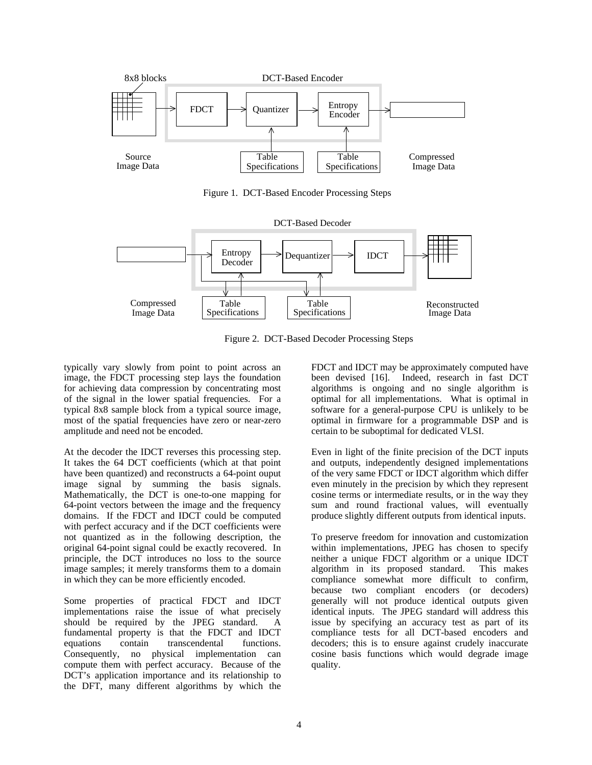

Figure 1. DCT-Based Encoder Processing Steps



Figure 2. DCT-Based Decoder Processing Steps

typically vary slowly from point to point across an image, the FDCT processing step lays the foundation for achieving data compression by concentrating most of the signal in the lower spatial frequencies. For a typical 8x8 sample block from a typical source image, most of the spatial frequencies have zero or near-zero amplitude and need not be encoded.

At the decoder the IDCT reverses this processing step. It takes the 64 DCT coefficients (which at that point have been quantized) and reconstructs a 64-point ouput image signal by summing the basis signals. Mathematically, the DCT is one-to-one mapping for 64-point vectors between the image and the frequency domains. If the FDCT and IDCT could be computed with perfect accuracy and if the DCT coefficients were not quantized as in the following description, the original 64-point signal could be exactly recovered. In principle, the DCT introduces no loss to the source image samples; it merely transforms them to a domain in which they can be more efficiently encoded.

Some properties of practical FDCT and IDCT implementations raise the issue of what precisely should be required by the JPEG standard. A fundamental property is that the FDCT and IDCT equations contain transcendental functions. equations contain transcendental functions. Consequently, no physical implementation can compute them with perfect accuracy. Because of the DCT's application importance and its relationship to the DFT, many different algorithms by which the

FDCT and IDCT may be approximately computed have<br>been devised [16]. Indeed, research in fast DCT Indeed, research in fast DCT algorithms is ongoing and no single algorithm is optimal for all implementations. What is optimal in software for a general-purpose CPU is unlikely to be optimal in firmware for a programmable DSP and is certain to be suboptimal for dedicated VLSI.

Even in light of the finite precision of the DCT inputs and outputs, independently designed implementations of the very same FDCT or IDCT algorithm which differ even minutely in the precision by which they represent cosine terms or intermediate results, or in the way they sum and round fractional values, will eventually produce slightly different outputs from identical inputs.

To preserve freedom for innovation and customization within implementations, JPEG has chosen to specify neither a unique FDCT algorithm or a unique IDCT algorithm in its proposed standard. This makes compliance somewhat more difficult to confirm, because two compliant encoders (or decoders) generally will not produce identical outputs given identical inputs. The JPEG standard will address this issue by specifying an accuracy test as part of its compliance tests for all DCT-based encoders and decoders; this is to ensure against crudely inaccurate cosine basis functions which would degrade image quality.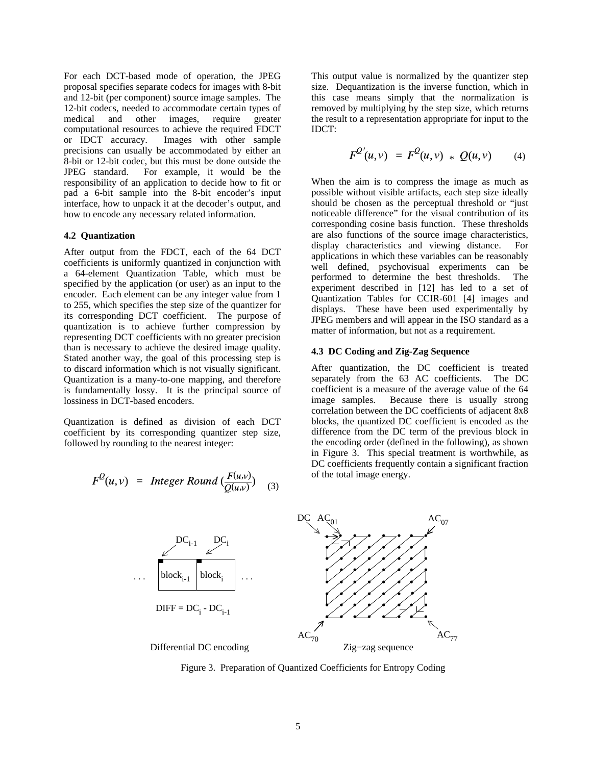For each DCT-based mode of operation, the JPEG proposal specifies separate codecs for images with 8-bit and 12-bit (per component) source image samples. The 12-bit codecs, needed to accommodate certain types of medical and other images, require greater computational resources to achieve the required FDCT or IDCT accuracy. Images with other sample precisions can usually be accommodated by either an 8-bit or 12-bit codec, but this must be done outside the JPEG standard. For example, it would be the responsibility of an application to decide how to fit or pad a 6-bit sample into the 8-bit encoder's input interface, how to unpack it at the decoder's output, and how to encode any necessary related information.

#### **4.2 Quantization**

After output from the FDCT, each of the 64 DCT coefficients is uniformly quantized in conjunction with a 64-element Quantization Table, which must be specified by the application (or user) as an input to the encoder. Each element can be any integer value from 1 to 255, which specifies the step size of the quantizer for its corresponding DCT coefficient. The purpose of quantization is to achieve further compression by representing DCT coefficients with no greater precision than is necessary to achieve the desired image quality. Stated another way, the goal of this processing step is to discard information which is not visually significant. Quantization is a many-to-one mapping, and therefore is fundamentally lossy. It is the principal source of lossiness in DCT-based encoders.

Quantization is defined as division of each DCT coefficient by its corresponding quantizer step size, followed by rounding to the nearest integer:

$$
F^{Q}(u,v) = Integer Round \left(\frac{F(u,v)}{Q(u,v)}\right) \quad (3)
$$

This output value is normalized by the quantizer step size. Dequantization is the inverse function, which in this case means simply that the normalization is removed by multiplying by the step size, which returns the result to a representation appropriate for input to the IDCT:

$$
F^{Q'}(u,v) = F^{Q}(u,v) * Q(u,v) \qquad (4)
$$

When the aim is to compress the image as much as possible without visible artifacts, each step size ideally should be chosen as the perceptual threshold or "just noticeable difference" for the visual contribution of its corresponding cosine basis function. These thresholds are also functions of the source image characteristics, display characteristics and viewing distance. For applications in which these variables can be reasonably well defined, psychovisual experiments can be performed to determine the best thresholds. The experiment described in [12] has led to a set of Quantization Tables for CCIR-601 [4] images and displays. These have been used experimentally by JPEG members and will appear in the ISO standard as a matter of information, but not as a requirement.

#### **4.3 DC Coding and Zig-Zag Sequence**

After quantization, the DC coefficient is treated separately from the 63 AC coefficients. The DC coefficient is a measure of the average value of the 64 image samples. Because there is usually strong correlation between the DC coefficients of adjacent 8x8 blocks, the quantized DC coefficient is encoded as the difference from the DC term of the previous block in the encoding order (defined in the following), as shown in Figure 3. This special treatment is worthwhile, as DC coefficients frequently contain a significant fraction of the total image energy.



Figure 3. Preparation of Quantized Coefficients for Entropy Coding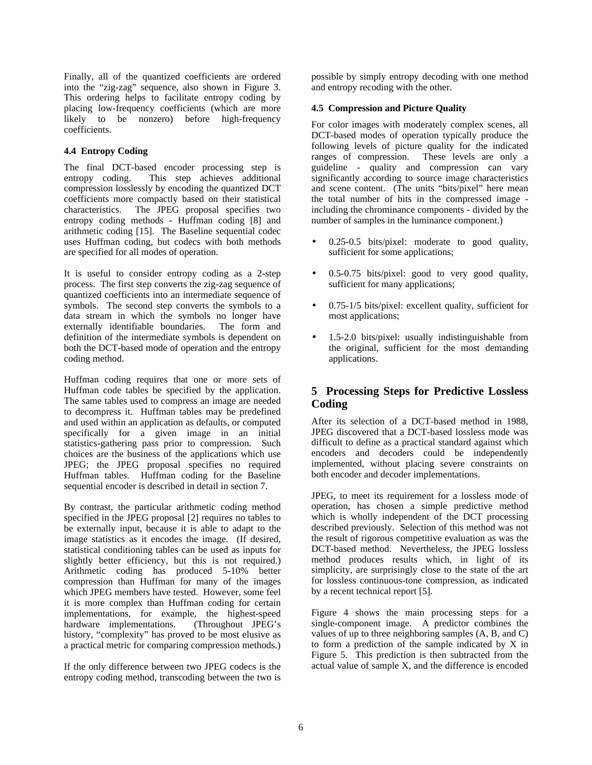Finally, all of the quantized coefficients are ordered into the "zig-zag" sequence, also shown in Figure 3. This ordering helps to facilitate entropy coding by placing low-frequency coefficients (which are more likely to be nonzero) before high-frequency coefficients.

### **4.4 Entropy Coding**

The final DCT-based encoder processing step is entropy coding. This step achieves additional compression losslessly by encoding the quantized DCT coefficients more compactly based on their statistical characteristics. The JPEG proposal specifies two entropy coding methods - Huffman coding [8] and arithmetic coding [15]. The Baseline sequential codec uses Huffman coding, but codecs with both methods are specified for all modes of operation.

It is useful to consider entropy coding as a 2-step process. The first step converts the zig-zag sequence of quantized coefficients into an intermediate sequence of symbols. The second step converts the symbols to a data stream in which the symbols no longer have externally identifiable boundaries. The form and definition of the intermediate symbols is dependent on both the DCT-based mode of operation and the entropy coding method.

Huffman coding requires that one or more sets of Huffman code tables be specified by the application. The same tables used to compress an image are needed to decompress it. Huffman tables may be predefined and used within an application as defaults, or computed specifically for a given image in an initial statistics-gathering pass prior to compression. Such choices are the business of the applications which use JPEG; the JPEG proposal specifies no required Huffman tables. Huffman coding for the Baseline sequential encoder is described in detail in section 7.

By contrast, the particular arithmetic coding method specified in the JPEG proposal [2] requires no tables to be externally input, because it is able to adapt to the image statistics as it encodes the image. (If desired, statistical conditioning tables can be used as inputs for slightly better efficiency, but this is not required.) Arithmetic coding has produced 5-10% better compression than Huffman for many of the images which JPEG members have tested. However, some feel it is more complex than Huffman coding for certain implementations, for example, the highest-speed hardware implementations. (Throughout JPEG's history, "complexity" has proved to be most elusive as a practical metric for comparing compression methods.)

If the only difference between two JPEG codecs is the entropy coding method, transcoding between the two is

possible by simply entropy decoding with one method and entropy recoding with the other.

### **4.5 Compression and Picture Quality**

For color images with moderately complex scenes, all DCT-based modes of operation typically produce the following levels of picture quality for the indicated ranges of compression. These levels are only a guideline - quality and compression can vary significantly according to source image characteristics and scene content. (The units "bits/pixel" here mean the total number of bits in the compressed image including the chrominance components - divided by the number of samples in the luminance component.)

- 0.25-0.5 bits/pixel: moderate to good quality, sufficient for some applications;
- 0.5-0.75 bits/pixel: good to very good quality, sufficient for many applications;
- 0.75-1/5 bits/pixel: excellent quality, sufficient for most applications;
- 1.5-2.0 bits/pixel: usually indistinguishable from the original, sufficient for the most demanding applications.

# **5 Processing Steps for Predictive Lossless Coding**

After its selection of a DCT-based method in 1988, JPEG discovered that a DCT-based lossless mode was difficult to define as a practical standard against which encoders and decoders could be independently implemented, without placing severe constraints on both encoder and decoder implementations.

JPEG, to meet its requirement for a lossless mode of operation, has chosen a simple predictive method which is wholly independent of the DCT processing described previously. Selection of this method was not the result of rigorous competitive evaluation as was the DCT-based method. Nevertheless, the JPEG lossless method produces results which, in light of its simplicity, are surprisingly close to the state of the art for lossless continuous-tone compression, as indicated by a recent technical report [5].

Figure 4 shows the main processing steps for a single-component image. A predictor combines the values of up to three neighboring samples (A, B, and C) to form a prediction of the sample indicated by X in Figure 5. This prediction is then subtracted from the actual value of sample X, and the difference is encoded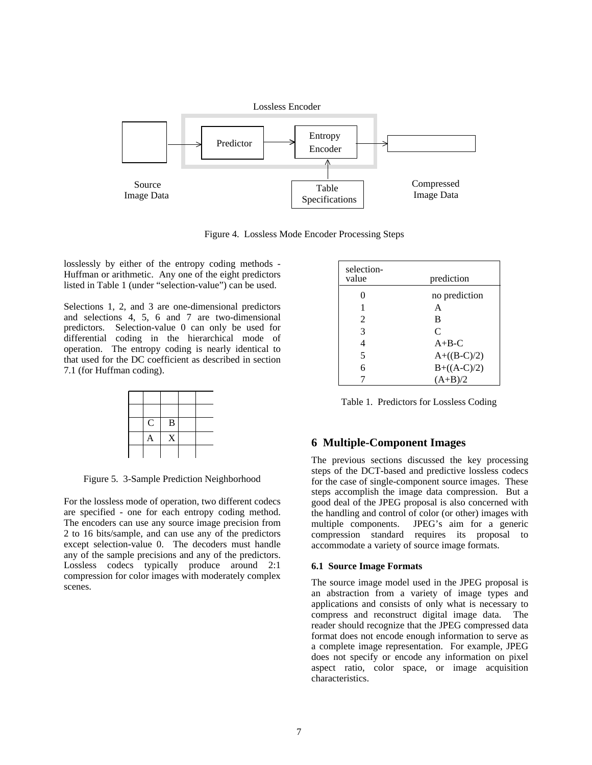

Figure 4. Lossless Mode Encoder Processing Steps

losslessly by either of the entropy coding methods - Huffman or arithmetic. Any one of the eight predictors listed in Table 1 (under "selection-value") can be used.

Selections 1, 2, and 3 are one-dimensional predictors and selections 4, 5, 6 and 7 are two-dimensional predictors. Selection-value 0 can only be used for differential coding in the hierarchical mode of operation. The entropy coding is nearly identical to that used for the DC coefficient as described in section 7.1 (for Huffman coding).

| $\mathbf C$ | $\, {\bf B}$ |  |
|-------------|--------------|--|
| A           | X            |  |
|             |              |  |

Figure 5. 3-Sample Prediction Neighborhood

For the lossless mode of operation, two different codecs are specified - one for each entropy coding method. The encoders can use any source image precision from 2 to 16 bits/sample, and can use any of the predictors except selection-value 0. The decoders must handle any of the sample precisions and any of the predictors. Lossless codecs typically produce around 2:1 compression for color images with moderately complex scenes.

| selection-<br>value | prediction     |
|---------------------|----------------|
| 0                   | no prediction  |
|                     | A              |
| 2                   | B              |
| 3                   | C              |
| 4                   | $A + B - C$    |
| 5                   | $A+(B-C)/2)$   |
| 6                   | $B+( (A-C)/2)$ |
|                     | $(A+B)/2$      |

Table 1. Predictors for Lossless Coding

### **6 Multiple-Component Images**

The previous sections discussed the key processing steps of the DCT-based and predictive lossless codecs for the case of single-component source images. These steps accomplish the image data compression. But a good deal of the JPEG proposal is also concerned with the handling and control of color (or other) images with multiple components. JPEG's aim for a generic compression standard requires its proposal to accommodate a variety of source image formats.

#### **6.1 Source Image Formats**

The source image model used in the JPEG proposal is an abstraction from a variety of image types and applications and consists of only what is necessary to compress and reconstruct digital image data. The reader should recognize that the JPEG compressed data format does not encode enough information to serve as a complete image representation. For example, JPEG does not specify or encode any information on pixel aspect ratio, color space, or image acquisition characteristics.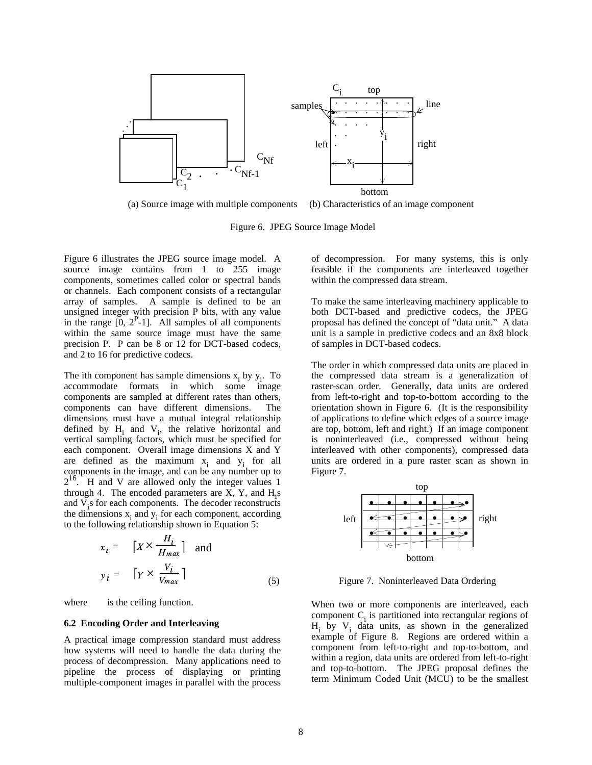

(a) Source image with multiple components (b) Characteristics of an image component

Figure 6. JPEG Source Image Model

Figure 6 illustrates the JPEG source image model. A source image contains from 1 to 255 image components, sometimes called color or spectral bands or channels. Each component consists of a rectangular array of samples. A sample is defined to be an unsigned integer with precision P bits, with any value in the range  $[0, 2^P-1]$ . All samples of all components within the same source image must have the same precision P. P can be 8 or 12 for DCT-based codecs, and 2 to 16 for predictive codecs.

The ith component has sample dimensions  $x_i$  by  $y_i$ . To accommodate formats in which some image components are sampled at different rates than others, components can have different dimensions. The dimensions must have a mutual integral relationship defined by  $H_i$  and  $V_i$ , the relative horizontal and vertical sampling factors, which must be specified for each component. Overall image dimensions X and Y are defined as the maximum  $x_i$  and  $y_i$  for all components in the image, and can be any number up to  $2^{16}$ . H and V are allowed only the integer values 1 through 4. The encoded parameters are  $X$ ,  $Y$ , and  $H_i$ s and V<sub>i</sub>s for each components. The decoder reconstructs the dimensions  $x_i$  and  $y_i$  for each component, according to the following relationship shown in Equation 5:

$$
x_{i} = \left[ X \times \frac{H_{i}}{H_{max}} \right] \text{ and}
$$
  

$$
y_{i} = \left[ Y \times \frac{V_{i}}{V_{max}} \right]
$$
 (5)

where  $\lceil \ \rceil$  is the ceiling function.

#### **6.2 Encoding Order and Interleaving**

A practical image compression standard must address how systems will need to handle the data during the process of decompression. Many applications need to pipeline the process of displaying or printing multiple-component images in parallel with the process of decompression. For many systems, this is only feasible if the components are interleaved together within the compressed data stream.

To make the same interleaving machinery applicable to both DCT-based and predictive codecs, the JPEG proposal has defined the concept of "data unit." A data unit is a sample in predictive codecs and an 8x8 block of samples in DCT-based codecs.

The order in which compressed data units are placed in the compressed data stream is a generalization of raster-scan order. Generally, data units are ordered from left-to-right and top-to-bottom according to the orientation shown in Figure 6. (It is the responsibility of applications to define which edges of a source image are top, bottom, left and right.) If an image component is noninterleaved (i.e., compressed without being interleaved with other components), compressed data units are ordered in a pure raster scan as shown in Figure 7.



Figure 7. Noninterleaved Data Ordering

When two or more components are interleaved, each component  $C_i$  is partitioned into rectangular regions of  $H_i$  by  $V_i$  data units, as shown in the generalized example of Figure 8. Regions are ordered within a component from left-to-right and top-to-bottom, and within a region, data units are ordered from left-to-right and top-to-bottom. The JPEG proposal defines the term Minimum Coded Unit (MCU) to be the smallest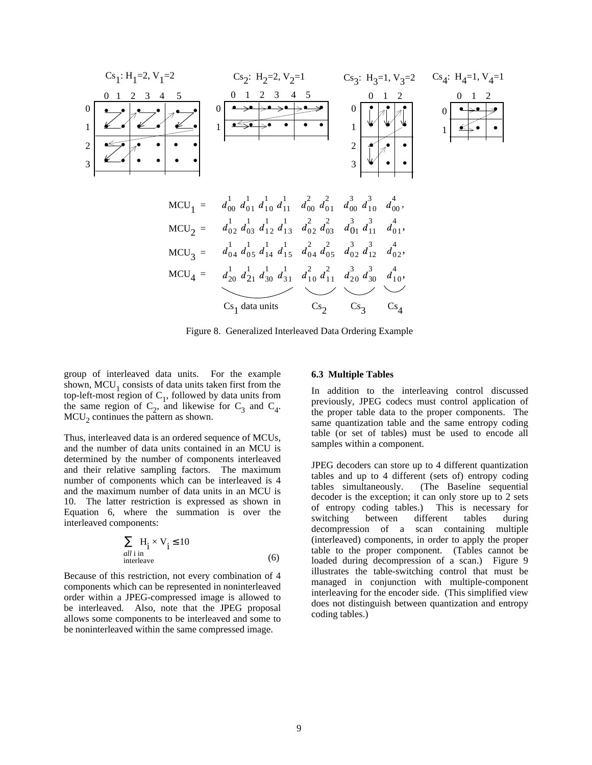

Figure 8. Generalized Interleaved Data Ordering Example

group of interleaved data units. For the example shown,  $MCU_1$  consists of data units taken first from the top-left-most region of  $C_1$ , followed by data units from the same region of  $C_2$ , and likewise for  $C_3$  and  $C_4$ .  $MCU<sub>2</sub>$  continues the pattern as shown.

Thus, interleaved data is an ordered sequence of MCUs, and the number of data units contained in an MCU is determined by the number of components interleaved and their relative sampling factors. The maximum number of components which can be interleaved is 4 and the maximum number of data units in an MCU is 10. The latter restriction is expressed as shown in Equation 6, where the summation is over the interleaved components:

$$
\sum_{\substack{all \ i \text{ in} \\ \text{interleave}}} H_i \times V_i \le 10
$$
\n<sup>(6)</sup>

Because of this restriction, not every combination of 4 components which can be represented in noninterleaved order within a JPEG-compressed image is allowed to be interleaved. Also, note that the JPEG proposal allows some components to be interleaved and some to be noninterleaved within the same compressed image.

#### **6.3 Multiple Tables**

In addition to the interleaving control discussed previously, JPEG codecs must control application of the proper table data to the proper components. The same quantization table and the same entropy coding table (or set of tables) must be used to encode all samples within a component.

JPEG decoders can store up to 4 different quantization tables and up to 4 different (sets of) entropy coding tables simultaneously. (The Baseline sequential decoder is the exception; it can only store up to 2 sets of entropy coding tables.) This is necessary for switching between different tables during decompression of a scan containing multiple (interleaved) components, in order to apply the proper table to the proper component. (Tables cannot be loaded during decompression of a scan.) Figure 9 illustrates the table-switching control that must be managed in conjunction with multiple-component interleaving for the encoder side. (This simplified view does not distinguish between quantization and entropy coding tables.)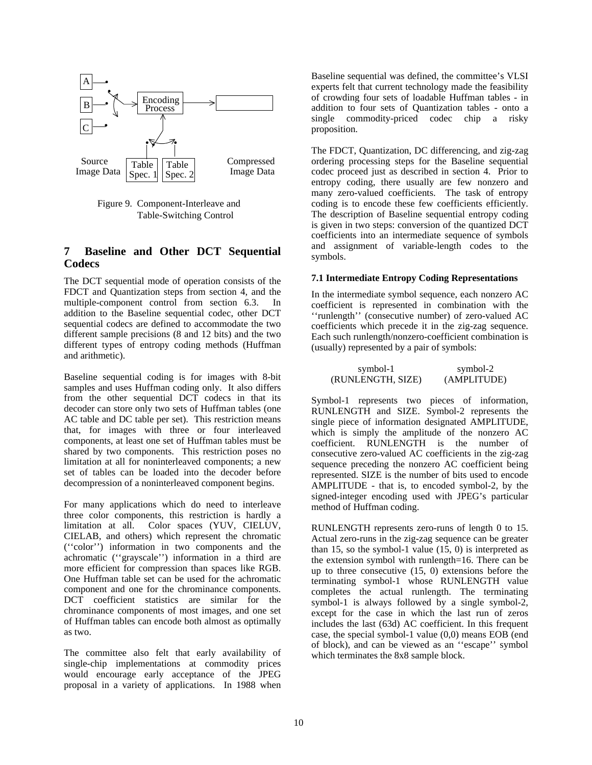

Figure 9. Component-Interleave and Table-Switching Control

### **7 Baseline and Other DCT Sequential Codecs**

The DCT sequential mode of operation consists of the FDCT and Quantization steps from section 4, and the multiple-component control from section 6.3. In addition to the Baseline sequential codec, other DCT sequential codecs are defined to accommodate the two different sample precisions (8 and 12 bits) and the two different types of entropy coding methods (Huffman and arithmetic).

Baseline sequential coding is for images with 8-bit samples and uses Huffman coding only. It also differs from the other sequential DCT codecs in that its decoder can store only two sets of Huffman tables (one AC table and DC table per set). This restriction means that, for images with three or four interleaved components, at least one set of Huffman tables must be shared by two components. This restriction poses no limitation at all for noninterleaved components; a new set of tables can be loaded into the decoder before decompression of a noninterleaved component begins.

For many applications which do need to interleave three color components, this restriction is hardly a limitation at all. Color spaces (YUV, CIELUV, Color spaces (YUV, CIELUV, CIELAB, and others) which represent the chromatic (''color'') information in two components and the achromatic (''grayscale'') information in a third are more efficient for compression than spaces like RGB. One Huffman table set can be used for the achromatic component and one for the chrominance components. DCT coefficient statistics are similar for the chrominance components of most images, and one set of Huffman tables can encode both almost as optimally as two.

The committee also felt that early availability of single-chip implementations at commodity prices would encourage early acceptance of the JPEG proposal in a variety of applications. In 1988 when

Baseline sequential was defined, the committee's VLSI experts felt that current technology made the feasibility of crowding four sets of loadable Huffman tables - in addition to four sets of Quantization tables - onto a single commodity-priced codec chip a risky proposition.

The FDCT, Quantization, DC differencing, and zig-zag ordering processing steps for the Baseline sequential codec proceed just as described in section 4. Prior to entropy coding, there usually are few nonzero and many zero-valued coefficients. The task of entropy coding is to encode these few coefficients efficiently. The description of Baseline sequential entropy coding is given in two steps: conversion of the quantized DCT coefficients into an intermediate sequence of symbols and assignment of variable-length codes to the symbols.

#### **7.1 Intermediate Entropy Coding Representations**

In the intermediate symbol sequence, each nonzero AC coefficient is represented in combination with the ''runlength'' (consecutive number) of zero-valued AC coefficients which precede it in the zig-zag sequence. Each such runlength/nonzero-coefficient combination is (usually) represented by a pair of symbols:

| symbol-1          | symbol-2    |
|-------------------|-------------|
| (RUNLENGTH, SIZE) | (AMPLITUDE) |

Symbol-1 represents two pieces of information, RUNLENGTH and SIZE. Symbol-2 represents the single piece of information designated AMPLITUDE, which is simply the amplitude of the nonzero AC coefficient. RUNLENGTH is the number of consecutive zero-valued AC coefficients in the zig-zag sequence preceding the nonzero AC coefficient being represented. SIZE is the number of bits used to encode AMPLITUDE - that is, to encoded symbol-2, by the signed-integer encoding used with JPEG's particular method of Huffman coding.

RUNLENGTH represents zero-runs of length 0 to 15. Actual zero-runs in the zig-zag sequence can be greater than 15, so the symbol-1 value (15, 0) is interpreted as the extension symbol with runlength=16. There can be up to three consecutive (15, 0) extensions before the terminating symbol-1 whose RUNLENGTH value completes the actual runlength. The terminating symbol-1 is always followed by a single symbol-2, except for the case in which the last run of zeros includes the last (63d) AC coefficient. In this frequent case, the special symbol-1 value (0,0) means EOB (end of block), and can be viewed as an ''escape'' symbol which terminates the 8x8 sample block.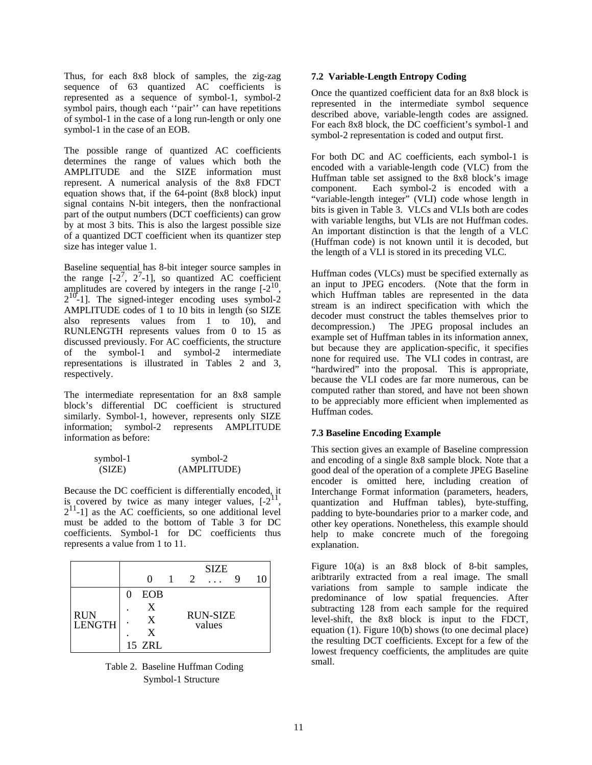Thus, for each 8x8 block of samples, the zig-zag sequence of 63 quantized AC coefficients is represented as a sequence of symbol-1, symbol-2 symbol pairs, though each ''pair'' can have repetitions of symbol-1 in the case of a long run-length or only one symbol-1 in the case of an EOB.

The possible range of quantized AC coefficients determines the range of values which both the AMPLITUDE and the SIZE information must represent. A numerical analysis of the 8x8 FDCT equation shows that, if the 64-point (8x8 block) input signal contains N-bit integers, then the nonfractional part of the output numbers (DCT coefficients) can grow by at most 3 bits. This is also the largest possible size of a quantized DCT coefficient when its quantizer step size has integer value 1.

Baseline sequential has 8-bit integer source samples in the range  $[-2^7, 2^7-1]$ , so quantized AC coefficient amplitudes are covered by integers in the range  $[-2^{10},]$  $2^{10}$ -1]. The signed-integer encoding uses symbol-2 AMPLITUDE codes of 1 to 10 bits in length (so SIZE also represents values from 1 to 10), and RUNLENGTH represents values from 0 to 15 as discussed previously. For AC coefficients, the structure of the symbol-1 and symbol-2 intermediate representations is illustrated in Tables 2 and 3, respectively.

The intermediate representation for an 8x8 sample block's differential DC coefficient is structured similarly. Symbol-1, however, represents only SIZE information; symbol-2 represents AMPLITUDE information as before:

| symbol-1 | symbol-2    |
|----------|-------------|
| (SIZE)   | (AMPLITUDE) |

Because the DC coefficient is differentially encoded, it is covered by twice as many integer values,  $[-2]$  $2^{11}$ -1] as the AC coefficients, so one additional level must be added to the bottom of Table 3 for DC coefficients. Symbol-1 for DC coefficients thus represents a value from 1 to 11.

|                             |                                     |  | <b>SIZE</b>               |  |
|-----------------------------|-------------------------------------|--|---------------------------|--|
| <b>RUN</b><br><b>LENGTH</b> | <b>EOB</b><br>X<br>X<br>X<br>15 ZRL |  | <b>RUN-SIZE</b><br>values |  |

Table 2. Baseline Huffman Coding Symbol-1 Structure

### **7.2 Variable-Length Entropy Coding**

Once the quantized coefficient data for an 8x8 block is represented in the intermediate symbol sequence described above, variable-length codes are assigned. For each 8x8 block, the DC coefficient's symbol-1 and symbol-2 representation is coded and output first.

For both DC and AC coefficients, each symbol-1 is encoded with a variable-length code (VLC) from the Huffman table set assigned to the 8x8 block's image component. Each symbol-2 is encoded with a "variable-length integer" (VLI) code whose length in bits is given in Table 3. VLCs and VLIs both are codes with variable lengths, but VLIs are not Huffman codes. An important distinction is that the length of a VLC (Huffman code) is not known until it is decoded, but the length of a VLI is stored in its preceding VLC.

Huffman codes (VLCs) must be specified externally as an input to JPEG encoders. (Note that the form in which Huffman tables are represented in the data stream is an indirect specification with which the decoder must construct the tables themselves prior to decompression.) The JPEG proposal includes an example set of Huffman tables in its information annex, but because they are application-specific, it specifies none for required use. The VLI codes in contrast, are "hardwired" into the proposal. This is appropriate, because the VLI codes are far more numerous, can be computed rather than stored, and have not been shown to be appreciably more efficient when implemented as Huffman codes.

### **7.3 Baseline Encoding Example**

This section gives an example of Baseline compression and encoding of a single 8x8 sample block. Note that a good deal of the operation of a complete JPEG Baseline encoder is omitted here, including creation of Interchange Format information (parameters, headers, quantization and Huffman tables), byte-stuffing, padding to byte-boundaries prior to a marker code, and other key operations. Nonetheless, this example should help to make concrete much of the foregoing explanation.

Figure 10(a) is an 8x8 block of 8-bit samples, aribtrarily extracted from a real image. The small variations from sample to sample indicate the predominance of low spatial frequencies. After subtracting 128 from each sample for the required level-shift, the 8x8 block is input to the FDCT, equation (1). Figure 10(b) shows (to one decimal place) the resulting DCT coefficients. Except for a few of the lowest frequency coefficients, the amplitudes are quite small.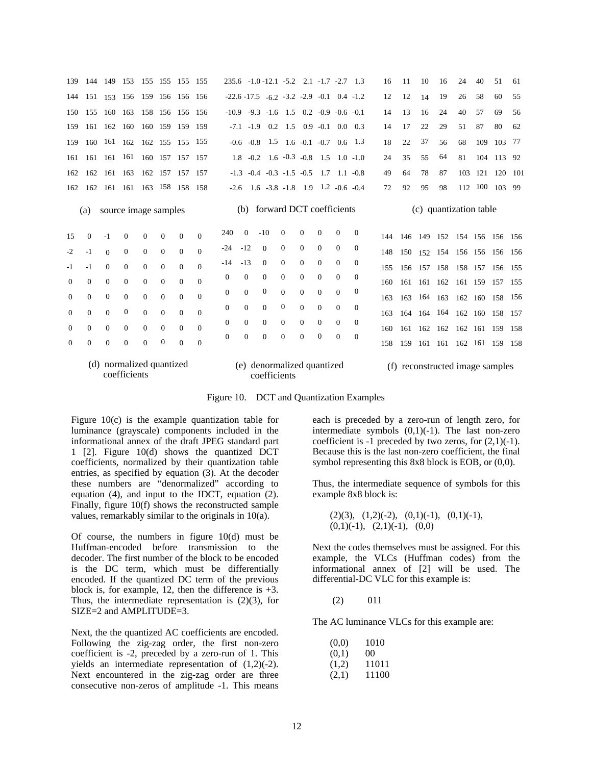| 139              | 144                                                                                                                             | 149                  | 153             | 155 155        |             | 155          | 155          |                  |                                 |                  |     |                  | 235.6 -1.0 -12.1 -5.2 2.1 -1.7 -2.7 1.3               |                    |                        |                  | 16  | 11  | 10  | 16  | 24          | 40  | 51  | 61   |
|------------------|---------------------------------------------------------------------------------------------------------------------------------|----------------------|-----------------|----------------|-------------|--------------|--------------|------------------|---------------------------------|------------------|-----|------------------|-------------------------------------------------------|--------------------|------------------------|------------------|-----|-----|-----|-----|-------------|-----|-----|------|
| 144              | 151                                                                                                                             | 153                  | 156             | 159 156        |             | 156          | 156          |                  |                                 |                  |     |                  | $-22.6 - 17.5$ $-6.2$ $-3.2$ $-2.9$ $-0.1$ 0.4 $-1.2$ |                    |                        |                  | 12  | 12  | 14  | 19  | 26          | 58  | 60  | 55   |
| 150              | 155                                                                                                                             | 160                  | 163             | 158 156        |             | 156          | - 156        | $-10.9$          |                                 |                  |     |                  | $-9.3$ $-1.6$ $1.5$ $0.2$ $-0.9$ $-0.6$ $-0.1$        |                    |                        |                  | 14  | 13  | 16  | 24  | 40          | 57  | 69  | 56   |
| 159              | 161                                                                                                                             | 162                  | 160             | 160            | 159         | 159          | 159          |                  | $-7.1 - 1.9$                    |                  | 0.2 | 1.5              |                                                       | $0.9 - 0.1$        | 0.0                    | 0.3              | 14  | 17  | 22  | 29  | 51          | 87  | 80  | 62   |
| 159              | 160                                                                                                                             | 161 162              |                 |                | 162 155 155 |              | 155          |                  |                                 |                  |     |                  | $-0.6$ $-0.8$ $1.5$ $1.6$ $-0.1$ $-0.7$ $0.6$ $1.3$   |                    |                        |                  | 18  | 22  | 37  | 56  | 68          | 109 | 103 | 77   |
| 161              | 161                                                                                                                             | 161                  | 161             |                | 160 157     | 157          | 157          | 1.8              | $-0.2$                          |                  |     |                  | $1.6 -0.3 -0.8$ $1.5$ $1.0 -1.0$                      |                    |                        |                  | 24  | 35  | 55  | 64  | 81          | 104 | 113 | 92   |
| 162              | 162                                                                                                                             | 161                  | 163             | 162 157        |             | 157          | 157          | $-1.3$           |                                 |                  |     |                  | $-0.4$ $-0.3$ $-1.5$ $-0.5$                           | $1.7$ $1.1$ $-0.8$ |                        |                  | 49  | 64  | 78  | 87  | 103         | 121 | 120 | -101 |
| 162              | 162                                                                                                                             |                      | 161 161 163 158 |                |             | 158          | 158          | $-2.6$           |                                 |                  |     |                  | $1.6 - 3.8 - 1.8$ $1.9$ $1.2 - 0.6$ $-0.4$            |                    |                        |                  | 72  | 92  | 95  | 98  | 112         | 100 | 103 | 99   |
|                  | (a)                                                                                                                             | source image samples |                 |                |             |              |              |                  | forward DCT coefficients<br>(b) |                  |     |                  |                                                       |                    | (c) quantization table |                  |     |     |     |     |             |     |     |      |
| 15               | $\Omega$                                                                                                                        | $-1$                 | $\Omega$        | $\Omega$       | $\Omega$    | $\Omega$     | $\Omega$     | 240              | $\Omega$                        | $-10$            |     | $\theta$         | $\theta$                                              | $\overline{0}$     | $\mathbf{0}$           | $\boldsymbol{0}$ | 144 | 146 | 149 | 152 | 154 156 156 |     |     | 156  |
| $-2$             | $-1$                                                                                                                            | $\Omega$             | $\mathbf{0}$    | $\Omega$       | $\Omega$    | $\mathbf{0}$ | $\Omega$     | $-24$            | $-12$                           | $\Omega$         |     | $\theta$         | $\mathbf{0}$                                          | $\mathbf{0}$       | $\mathbf{0}$           | $\theta$         | 148 | 150 | 152 | 154 | 156 156     |     | 156 | 156  |
| $-1$             | $-1$                                                                                                                            | $\mathbf{0}$         | $\mathbf{0}$    | $\overline{0}$ | $\theta$    | $\mathbf{0}$ | $\Omega$     | $-14$            | $-13$                           | $\theta$         |     | $\theta$         | $\mathbf{0}$                                          | $\mathbf{0}$       | $\mathbf{0}$           | $\theta$         | 155 | 156 | 157 | 158 | 158 157     |     | 156 | 155  |
| $\bf{0}$         | $\overline{0}$                                                                                                                  | $\mathbf{0}$         | $\mathbf{0}$    | $\overline{0}$ | $\Omega$    | $\mathbf{0}$ | $\Omega$     | $\mathbf{0}$     | $\boldsymbol{0}$                | $\theta$         |     | $\theta$         | $\mathbf{0}$                                          | $\mathbf{0}$       | $\theta$               | $\theta$         | 160 | 161 | 161 | 162 | 161 159     |     | 157 | 155  |
| $\mathbf{0}$     | $\Omega$                                                                                                                        | $\boldsymbol{0}$     | $\Omega$        | $\Omega$       | $\Omega$    | $\Omega$     | $\theta$     | $\boldsymbol{0}$ | $\boldsymbol{0}$                | $\boldsymbol{0}$ |     | $\boldsymbol{0}$ | $\boldsymbol{0}$                                      | $\theta$           | $\mathbf{0}$           | $\mathbf{0}$     | 163 | 163 | 164 | 163 | 162 160 158 |     |     | 156  |
| $\boldsymbol{0}$ | $\Omega$                                                                                                                        | $\Omega$             | $\mathbf{0}$    | $\Omega$       | $\Omega$    | $\Omega$     | $\Omega$     | 0                | $\mathbf{0}$                    | $\mathbf{0}$     |     | $\boldsymbol{0}$ | $\mathbf{0}$                                          | $\mathbf{0}$       | $\mathbf{0}$           | $\Omega$         | 163 | 164 | 164 | 164 | 162 160     |     | 158 | 157  |
| $\mathbf{0}$     | $\overline{0}$                                                                                                                  | $\mathbf{0}$         | $\Omega$        | $\Omega$       | $\Omega$    | $\Omega$     | $\Omega$     | $\Omega$         | $\Omega$                        | $\Omega$         |     | $\Omega$         | $\Omega$                                              | $\Omega$           | $\Omega$               | $\Omega$         | 160 | 161 | 162 | 162 | 162         | 161 | 159 | 158  |
| $\mathbf{0}$     | $\overline{0}$                                                                                                                  | $\boldsymbol{0}$     | $\mathbf{0}$    | $\overline{0}$ | $\theta$    | $\mathbf{0}$ | $\mathbf{0}$ | $\mathbf{0}$     | $\mathbf{0}$                    | $\mathbf{0}$     |     | $\mathbf{0}$     | $\mathbf{0}$                                          | $\mathbf{0}$       | $\theta$               | $\overline{0}$   | 158 | 159 | 161 | 161 | 162         | 161 | 159 | 158  |
|                  | (d) normalized quantized<br>denormalized quantized<br>(e)<br>reconstructed image samples<br>(f)<br>coefficients<br>coefficients |                      |                 |                |             |              |              |                  |                                 |                  |     |                  |                                                       |                    |                        |                  |     |     |     |     |             |     |     |      |

Figure 10. DCT and Quantization Examples

Figure 10(c) is the example quantization table for luminance (grayscale) components included in the informational annex of the draft JPEG standard part 1 [2]. Figure 10(d) shows the quantized DCT coefficients, normalized by their quantization table entries, as specified by equation (3). At the decoder these numbers are "denormalized" according to equation (4), and input to the IDCT, equation (2). Finally, figure 10(f) shows the reconstructed sample values, remarkably similar to the originals in 10(a).

Of course, the numbers in figure 10(d) must be Huffman-encoded before transmission to the decoder. The first number of the block to be encoded is the DC term, which must be differentially encoded. If the quantized DC term of the previous block is, for example, 12, then the difference is  $+3$ . Thus, the intermediate representation is  $(2)(3)$ , for SIZE=2 and AMPLITUDE=3.

Next, the the quantized AC coefficients are encoded. Following the zig-zag order, the first non-zero coefficient is -2, preceded by a zero-run of 1. This yields an intermediate representation of (1,2)(-2). Next encountered in the zig-zag order are three consecutive non-zeros of amplitude -1. This means each is preceded by a zero-run of length zero, for intermediate symbols  $(0,1)(-1)$ . The last non-zero coefficient is  $-1$  preceded by two zeros, for  $(2,1)(-1)$ . Because this is the last non-zero coefficient, the final symbol representing this 8x8 block is EOB, or (0,0).

Thus, the intermediate sequence of symbols for this example 8x8 block is:

```
(2)(3), (1,2)(-2), (0,1)(-1), (0,1)(-1),
(0,1)(-1), (2,1)(-1), (0,0)
```
Next the codes themselves must be assigned. For this example, the VLCs (Huffman codes) from the informational annex of [2] will be used. The differential-DC VLC for this example is:

 $(2)$  011

The AC luminance VLCs for this example are:

| (0,0) | 1010         |
|-------|--------------|
| (0,1) | $($ $)($ $)$ |
| (1,2) | 11011        |
| (2,1) | 11100        |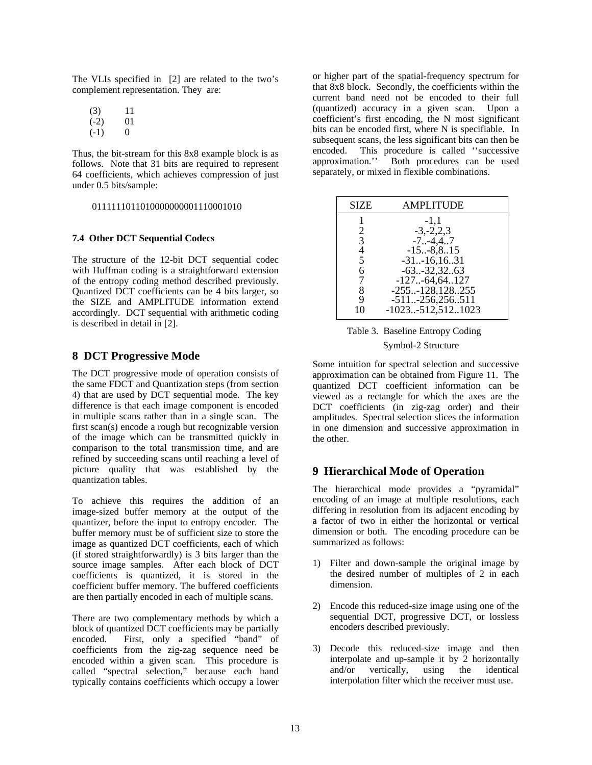The VLIs specified in [2] are related to the two's complement representation. They are:

(3) 11  $(-2)$  01  $(-1) 0$ 

Thus, the bit-stream for this 8x8 example block is as follows. Note that 31 bits are required to represent 64 coefficients, which achieves compression of just under 0.5 bits/sample:

### 0111111011010000000001110001010

#### **7.4 Other DCT Sequential Codecs**

The structure of the 12-bit DCT sequential codec with Huffman coding is a straightforward extension of the entropy coding method described previously. Quantized DCT coefficients can be 4 bits larger, so the SIZE and AMPLITUDE information extend accordingly. DCT sequential with arithmetic coding is described in detail in [2].

### **8 DCT Progressive Mode**

The DCT progressive mode of operation consists of the same FDCT and Quantization steps (from section 4) that are used by DCT sequential mode. The key difference is that each image component is encoded in multiple scans rather than in a single scan. The first scan(s) encode a rough but recognizable version of the image which can be transmitted quickly in comparison to the total transmission time, and are refined by succeeding scans until reaching a level of picture quality that was established by the quantization tables.

To achieve this requires the addition of an image-sized buffer memory at the output of the quantizer, before the input to entropy encoder. The buffer memory must be of sufficient size to store the image as quantized DCT coefficients, each of which (if stored straightforwardly) is 3 bits larger than the source image samples. After each block of DCT coefficients is quantized, it is stored in the coefficient buffer memory. The buffered coefficients are then partially encoded in each of multiple scans.

There are two complementary methods by which a block of quantized DCT coefficients may be partially encoded. First, only a specified "band" of coefficients from the zig-zag sequence need be encoded within a given scan. This procedure is called "spectral selection," because each band typically contains coefficients which occupy a lower

or higher part of the spatial-frequency spectrum for that 8x8 block. Secondly, the coefficients within the current band need not be encoded to their full (quantized) accuracy in a given scan. Upon a coefficient's first encoding, the N most significant bits can be encoded first, where N is specifiable. In subsequent scans, the less significant bits can then be encoded. This procedure is called ''successive approximation.'' Both procedures can be used separately, or mixed in flexible combinations.

| SIZE | <b>AMPLITUDE</b>       |
|------|------------------------|
|      | $-1,1$                 |
| 2    | $-3, -2, 2, 3$         |
| 3    | $-7-4,47$              |
| 4    | $-15-8,815$            |
| 5    | $-3116,1631$           |
| 6    | $-6332,3263$           |
| 7    | $-127$ $-64,64127$     |
| 8    | $-255-128,128255$      |
| 9    | $-511-256,256511$      |
| 10   | $-1023$ $-512,5121023$ |

Table 3. Baseline Entropy Coding Symbol-2 Structure

Some intuition for spectral selection and successive approximation can be obtained from Figure 11. The quantized DCT coefficient information can be viewed as a rectangle for which the axes are the DCT coefficients (in zig-zag order) and their amplitudes. Spectral selection slices the information in one dimension and successive approximation in the other.

### **9 Hierarchical Mode of Operation**

The hierarchical mode provides a "pyramidal" encoding of an image at multiple resolutions, each differing in resolution from its adjacent encoding by a factor of two in either the horizontal or vertical dimension or both. The encoding procedure can be summarized as follows:

- 1) Filter and down-sample the original image by the desired number of multiples of 2 in each dimension.
- 2) Encode this reduced-size image using one of the sequential DCT, progressive DCT, or lossless encoders described previously.
- 3) Decode this reduced-size image and then interpolate and up-sample it by 2 horizontally and/or vertically, using the identical interpolation filter which the receiver must use.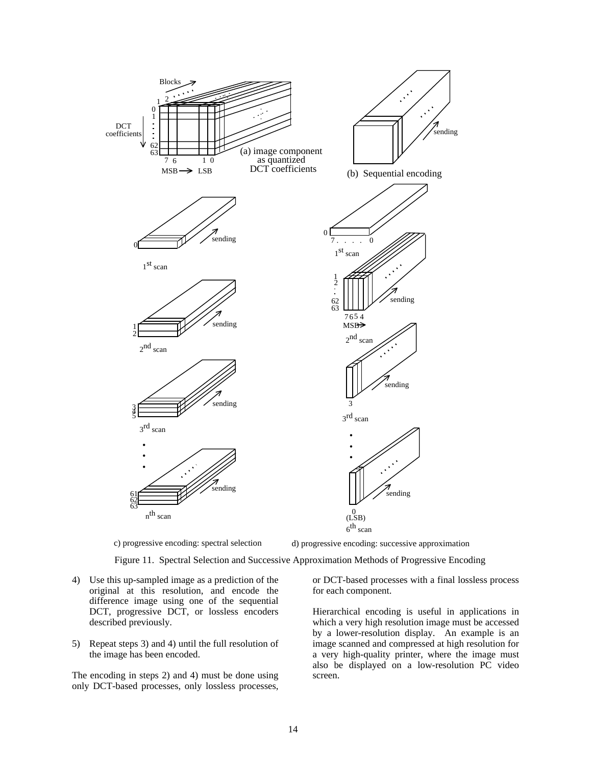



c) progressive encoding: spectral selection d) progressive encoding: successive approximation

Figure 11. Spectral Selection and Successive Approximation Methods of Progressive Encoding

- 4) Use this up-sampled image as a prediction of the original at this resolution, and encode the difference image using one of the sequential DCT, progressive DCT, or lossless encoders described previously.
- 5) Repeat steps 3) and 4) until the full resolution of the image has been encoded.

The encoding in steps 2) and 4) must be done using only DCT-based processes, only lossless processes, or DCT-based processes with a final lossless process for each component.

Hierarchical encoding is useful in applications in which a very high resolution image must be accessed by a lower-resolution display. An example is an image scanned and compressed at high resolution for a very high-quality printer, where the image must also be displayed on a low-resolution PC video screen.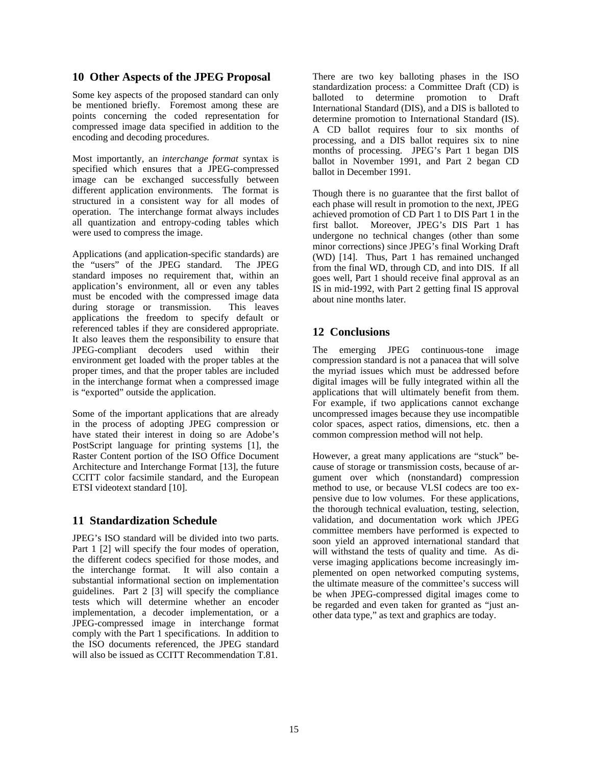## **10 Other Aspects of the JPEG Proposal**

Some key aspects of the proposed standard can only be mentioned briefly. Foremost among these are points concerning the coded representation for compressed image data specified in addition to the encoding and decoding procedures.

Most importantly, an *interchange format* syntax is specified which ensures that a JPEG-compressed image can be exchanged successfully between different application environments. The format is structured in a consistent way for all modes of operation. The interchange format always includes all quantization and entropy-coding tables which were used to compress the image.

Applications (and application-specific standards) are the "users" of the JPEG standard. The JPEG standard imposes no requirement that, within an application's environment, all or even any tables must be encoded with the compressed image data during storage or transmission. This leaves applications the freedom to specify default or referenced tables if they are considered appropriate. It also leaves them the responsibility to ensure that JPEG-compliant decoders used within their environment get loaded with the proper tables at the proper times, and that the proper tables are included in the interchange format when a compressed image is "exported" outside the application.

Some of the important applications that are already in the process of adopting JPEG compression or have stated their interest in doing so are Adobe's PostScript language for printing systems [1], the Raster Content portion of the ISO Office Document Architecture and Interchange Format [13], the future CCITT color facsimile standard, and the European ETSI videotext standard [10].

# **11 Standardization Schedule**

JPEG's ISO standard will be divided into two parts. Part 1 [2] will specify the four modes of operation, the different codecs specified for those modes, and the interchange format. It will also contain a substantial informational section on implementation guidelines. Part 2 [3] will specify the compliance tests which will determine whether an encoder implementation, a decoder implementation, or a JPEG-compressed image in interchange format comply with the Part 1 specifications. In addition to the ISO documents referenced, the JPEG standard will also be issued as CCITT Recommendation T.81.

There are two key balloting phases in the ISO standardization process: a Committee Draft (CD) is balloted to determine promotion to Draft International Standard (DIS), and a DIS is balloted to determine promotion to International Standard (IS). A CD ballot requires four to six months of processing, and a DIS ballot requires six to nine months of processing. JPEG's Part 1 began DIS ballot in November 1991, and Part 2 began CD ballot in December 1991.

Though there is no guarantee that the first ballot of each phase will result in promotion to the next, JPEG achieved promotion of CD Part 1 to DIS Part 1 in the first ballot. Moreover, JPEG's DIS Part 1 has undergone no technical changes (other than some minor corrections) since JPEG's final Working Draft (WD) [14]. Thus, Part 1 has remained unchanged from the final WD, through CD, and into DIS. If all goes well, Part 1 should receive final approval as an IS in mid-1992, with Part 2 getting final IS approval about nine months later.

# **12 Conclusions**

The emerging JPEG continuous-tone image compression standard is not a panacea that will solve the myriad issues which must be addressed before digital images will be fully integrated within all the applications that will ultimately benefit from them. For example, if two applications cannot exchange uncompressed images because they use incompatible color spaces, aspect ratios, dimensions, etc. then a common compression method will not help.

However, a great many applications are "stuck" because of storage or transmission costs, because of argument over which (nonstandard) compression method to use, or because VLSI codecs are too expensive due to low volumes. For these applications, the thorough technical evaluation, testing, selection, validation, and documentation work which JPEG committee members have performed is expected to soon yield an approved international standard that will withstand the tests of quality and time. As diverse imaging applications become increasingly implemented on open networked computing systems, the ultimate measure of the committee's success will be when JPEG-compressed digital images come to be regarded and even taken for granted as "just another data type," as text and graphics are today.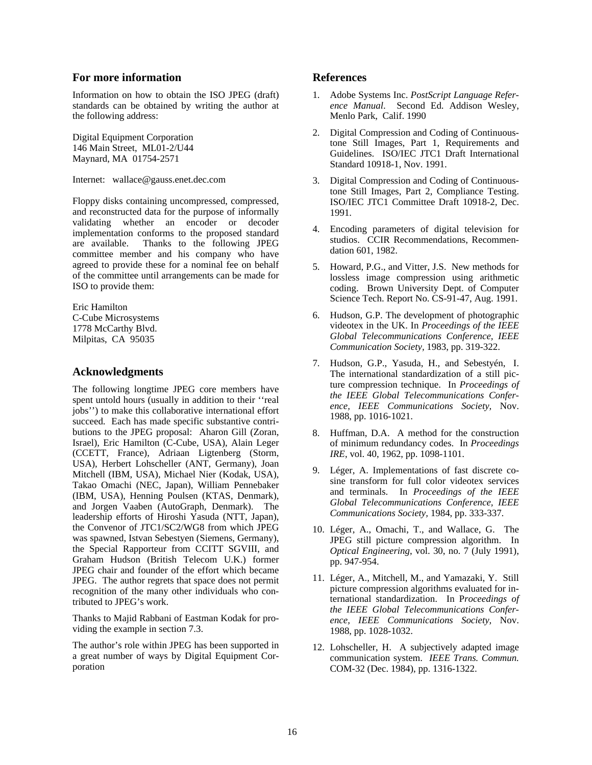### **For more information**

Information on how to obtain the ISO JPEG (draft) standards can be obtained by writing the author at the following address:

Digital Equipment Corporation 146 Main Street, ML01-2/U44 Maynard, MA 01754-2571

Internet: wallace@gauss.enet.dec.com

Floppy disks containing uncompressed, compressed, and reconstructed data for the purpose of informally validating whether an encoder or decoder implementation conforms to the proposed standard are available. Thanks to the following JPEG committee member and his company who have agreed to provide these for a nominal fee on behalf of the committee until arrangements can be made for ISO to provide them:

Eric Hamilton C-Cube Microsystems 1778 McCarthy Blvd. Milpitas, CA 95035

## **Acknowledgments**

The following longtime JPEG core members have spent untold hours (usually in addition to their ''real jobs'') to make this collaborative international effort succeed. Each has made specific substantive contributions to the JPEG proposal: Aharon Gill (Zoran, Israel), Eric Hamilton (C-Cube, USA), Alain Leger (CCETT, France), Adriaan Ligtenberg (Storm, USA), Herbert Lohscheller (ANT, Germany), Joan Mitchell (IBM, USA), Michael Nier (Kodak, USA), Takao Omachi (NEC, Japan), William Pennebaker (IBM, USA), Henning Poulsen (KTAS, Denmark), and Jorgen Vaaben (AutoGraph, Denmark). The leadership efforts of Hiroshi Yasuda (NTT, Japan), the Convenor of JTC1/SC2/WG8 from which JPEG was spawned, Istvan Sebestyen (Siemens, Germany), the Special Rapporteur from CCITT SGVIII, and Graham Hudson (British Telecom U.K.) former JPEG chair and founder of the effort which became JPEG. The author regrets that space does not permit recognition of the many other individuals who contributed to JPEG's work.

Thanks to Majid Rabbani of Eastman Kodak for providing the example in section 7.3.

The author's role within JPEG has been supported in a great number of ways by Digital Equipment Corporation

### **References**

- 1. Adobe Systems Inc. *PostScript Language Reference Manual*. Second Ed. Addison Wesley, Menlo Park, Calif. 1990
- 2. Digital Compression and Coding of Continuoustone Still Images, Part 1, Requirements and Guidelines. ISO/IEC JTC1 Draft International Standard 10918-1, Nov. 1991.
- 3. Digital Compression and Coding of Continuoustone Still Images, Part 2, Compliance Testing. ISO/IEC JTC1 Committee Draft 10918-2, Dec. 1991.
- 4. Encoding parameters of digital television for studios. CCIR Recommendations, Recommendation 601, 1982.
- 5. Howard, P.G., and Vitter, J.S. New methods for lossless image compression using arithmetic coding. Brown University Dept. of Computer Science Tech. Report No. CS-91-47, Aug. 1991.
- 6. Hudson, G.P. The development of photographic videotex in the UK. In *Proceedings of the IEEE Global Telecommunications Conference, IEEE Communication Society,* 1983, pp. 319-322.
- 7. Hudson, G.P., Yasuda, H., and Sebestyén, I. The international standardization of a still picture compression technique. In *Proceedings of the IEEE Global Telecommunications Conference, IEEE Communications Society,* Nov. 1988, pp. 1016-1021.
- 8. Huffman, D.A. A method for the construction of minimum redundancy codes. In *Proceedings IRE*, vol. 40, 1962, pp. 1098-1101.
- 9. Léger, A. Implementations of fast discrete cosine transform for full color videotex services and terminals. In *Proceedings of the IEEE Global Telecommunications Conference, IEEE Communications Society,* 1984, pp. 333-337.
- 10. Léger, A., Omachi, T., and Wallace, G. The JPEG still picture compression algorithm. In *Optical Engineering*, vol. 30, no. 7 (July 1991), pp. 947-954.
- 11. Léger, A., Mitchell, M., and Yamazaki, Y. Still picture compression algorithms evaluated for international standardization. In P*roceedings of the IEEE Global Telecommunications Conference, IEEE Communications Society,* Nov. 1988, pp. 1028-1032.
- 12. Lohscheller, H. A subjectively adapted image communication system. *IEEE Trans. Commun.* COM-32 (Dec. 1984), pp. 1316-1322.